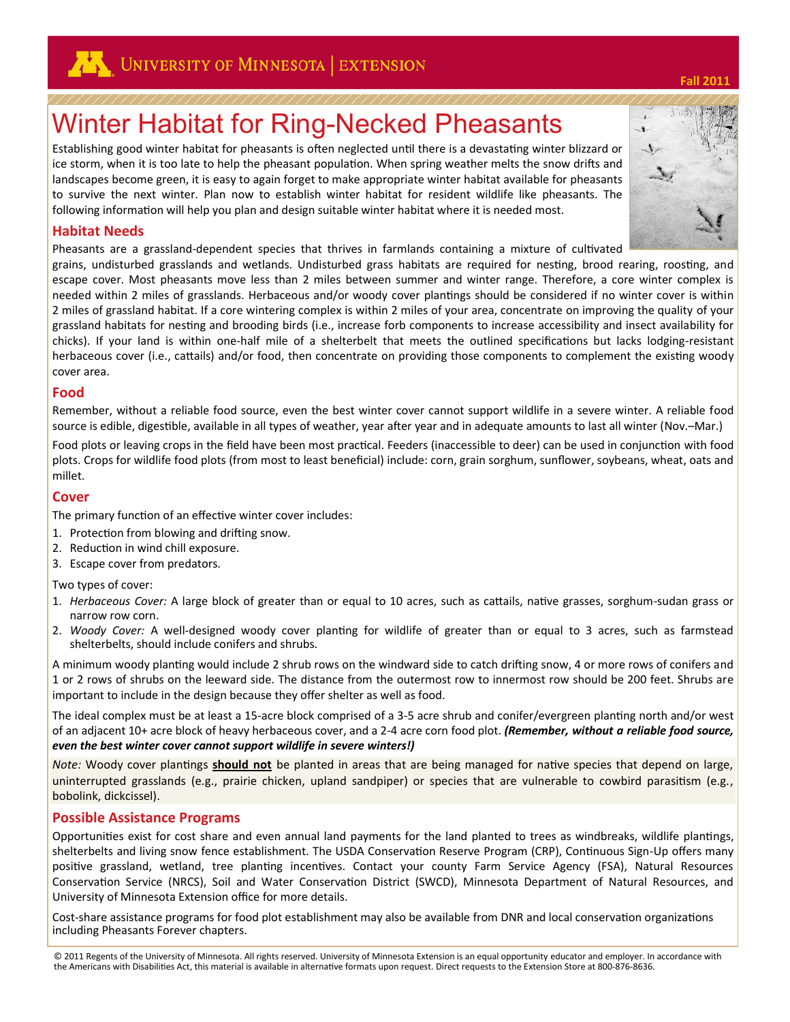

# Winter Habitat for Ring-Necked Pheasants

Establishing good winter habitat for pheasants is often neglected until there is a devastating winter blizzard or ice storm, when it is too late to help the pheasant population. When spring weather melts the snow drifts and landscapes become green, it is easy to again forget to make appropriate winter habitat available for pheasants to survive the next winter. Plan now to establish winter habitat for resident wildlife like pheasants. The following information will help you plan and design suitable winter habitat where it is needed most.

#### **Habitat Needs**

Pheasants are a grassland-dependent species that thrives in farmlands containing a mixture of cultivated

grains, undisturbed grasslands and wetlands. Undisturbed grass habitats are required for nesting, brood rearing, roosting, and escape cover. Most pheasants move less than 2 miles between summer and winter range. Therefore, a core winter complex is needed within 2 miles of grasslands. Herbaceous and/or woody cover plantings should be considered if no winter cover is within 2 miles of grassland habitat. If a core wintering complex is within 2 miles of your area, concentrate on improving the quality of your grassland habitats for nesting and brooding birds (i.e., increase forb components to increase accessibility and insect availability for chicks). If your land is within one-half mile of a shelterbelt that meets the outlined specifications but lacks lodging-resistant herbaceous cover (i.e., cattails) and/or food, then concentrate on providing those components to complement the existing woody cover area.

#### **Food**

Remember, without a reliable food source, even the best winter cover cannot support wildlife in a severe winter. A reliable food source is edible, digestible, available in all types of weather, year after year and in adequate amounts to last all winter (Nov.–Mar.)

Food plots or leaving crops in the field have been most practical. Feeders (inaccessible to deer) can be used in conjunction with food plots. Crops for wildlife food plots (from most to least beneficial) include: corn, grain sorghum, sunflower, soybeans, wheat, oats and millet.

#### **Cover**

The primary function of an effective winter cover includes:

- 1. Protection from blowing and drifting snow.
- 2. Reduction in wind chill exposure.
- 3. Escape cover from predators.

Two types of cover:

- 1. *Herbaceous Cover:* A large block of greater than or equal to 10 acres, such as cattails, native grasses, sorghum-sudan grass or narrow row corn.
- 2. *Woody Cover:* A well-designed woody cover planting for wildlife of greater than or equal to 3 acres, such as farmstead shelterbelts, should include conifers and shrubs.

A minimum woody planting would include 2 shrub rows on the windward side to catch drifting snow, 4 or more rows of conifers and 1 or 2 rows of shrubs on the leeward side. The distance from the outermost row to innermost row should be 200 feet. Shrubs are important to include in the design because they offer shelter as well as food.

The ideal complex must be at least a 15-acre block comprised of a 3-5 acre shrub and conifer/evergreen planting north and/or west of an adjacent 10+ acre block of heavy herbaceous cover, and a 2-4 acre corn food plot. *(Remember, without a reliable food source, even the best winter cover cannot support wildlife in severe winters!)*

*Note:* Woody cover plantings **should not** be planted in areas that are being managed for native species that depend on large, uninterrupted grasslands (e.g., prairie chicken, upland sandpiper) or species that are vulnerable to cowbird parasitism (e.g., bobolink, dickcissel).

#### **Possible Assistance Programs**

Opportunities exist for cost share and even annual land payments for the land planted to trees as windbreaks, wildlife plantings, shelterbelts and living snow fence establishment. The USDA Conservation Reserve Program (CRP), Continuous Sign-Up offers many positive grassland, wetland, tree planting incentives. Contact your county Farm Service Agency (FSA), Natural Resources Conservation Service (NRCS), Soil and Water Conservation District (SWCD), Minnesota Department of Natural Resources, and University of Minnesota Extension office for more details.

Cost-share assistance programs for food plot establishment may also be available from DNR and local conservation organizations including Pheasants Forever chapters.



**Fall 2011**

<sup>© 2011</sup> Regents of the University of Minnesota. All rights reserved. University of Minnesota Extension is an equal opportunity educator and employer. In accordance with the Americans with Disabilities Act, this material is available in alternative formats upon request. Direct requests to the Extension Store at 800-876-8636.